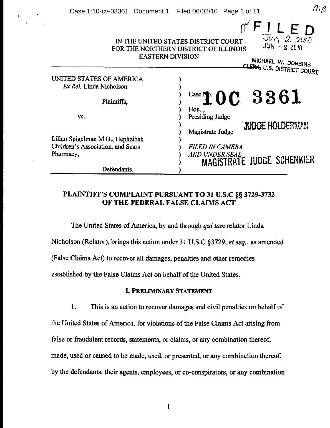| <b>EASTERN DIVISION</b>           | $\int_{\frac{1}{\sqrt{U}}\sqrt{2}}^{U} \mathcal{L}_{2}$<br>IN THE UNITED STATES DISTRICT COURT<br>FOR THE NORTHERN DISTRICT OF ILLINOIS<br>MICHAEL W. DOBBINS<br>CLERK, U.S. DISTRICT COURT |
|-----------------------------------|---------------------------------------------------------------------------------------------------------------------------------------------------------------------------------------------|
|                                   |                                                                                                                                                                                             |
| UNITED STATES OF AMERICA          |                                                                                                                                                                                             |
| Ex Rel. Linda Nicholson           |                                                                                                                                                                                             |
| Plaintiffs,                       | $\frac{Case \textbf{N}}{20}$ 0 C 3 3 6 1                                                                                                                                                    |
|                                   | Hon.,                                                                                                                                                                                       |
| VS.                               | Presiding Judge<br><b>JUDGE HOLDERMAN</b><br>Magistrate Judge                                                                                                                               |
| Lilian Spigelman M.D., Hephzibah  |                                                                                                                                                                                             |
| Children's Association, and Sears | <b>FILED IN CAMERA</b>                                                                                                                                                                      |
|                                   |                                                                                                                                                                                             |
| Pharmacy,                         | AND UNDER SEAL<br>MAGISTRATE JUDGE SCHENKIER                                                                                                                                                |
| Defendants.                       |                                                                                                                                                                                             |

## PLAINTIFF'S COMPLAINT PURSUANT TO 31 U.S.C §§ 3729-3732 OF THE FEDERAL FALSE CLAIMS ACT

The United States of America, by and through *qui tam* relator Linda Nicholson (Relator), brings this action under 31 U.S.C §3729, *et seq.,* as amended (False Claims Act) to recover all damages, penalties and other remedies established by the False Claims Act on behalf of the United States.

## I. PRELIMINARY STATEMENT

1. This is an action to recover damages and civil penalties on behalf of the United States of America, for violations of the False Claims Act arising from false or fraudulent records, statements, or claims, or any combination thereof, made, used or caused to be made, used, or presented, or any combination thereof, by the defendants, their agents, employees, or co-conspirators, or any combination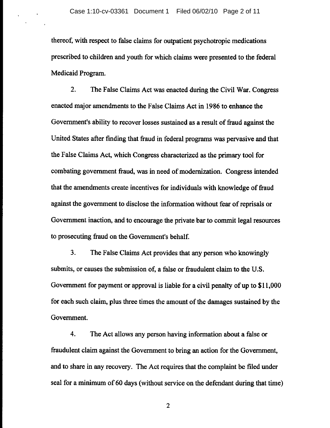thereof, with respect to false claims for outpatient psychotropic medications prescribed to children and youth for which claims were presented to the federal Medicaid Program.

2. The False Claims Act was enacted during the Civil War. Congress enacted major amendments to the False Claims Act in 1986 to enhance the Government's ability to recover losses sustained as a result of fraud against the United States after fmding that fraud in federal programs was pervasive and that the False Claims Act, which Congress characterized as the primary tool for combating government fraud, was in need of modernization. Congress intended that the amendments create incentives for individuals with knowledge of fraud against the government to disclose the information without fear of reprisals or Government inaction, and to encourage the private bar to commit legal resources to prosecuting fraud on the Government's behalf.

3. The False Claims Act provides that any person who knowingly submits, or causes the submission of, a false or fraudulent claim to the U.S. Government for payment or approval is liable for a civil penalty of up to \$11,000 for each such claim, plus three times the amount of the damages sustained by the Government.

4. The Act allows any person having information about a false or fraudulent claim against the Government to bring an action for the Government, and to share in any recovery. The Act requires that the complaint be filed under seal for a minimum of 60 days (without service on the defendant during that time)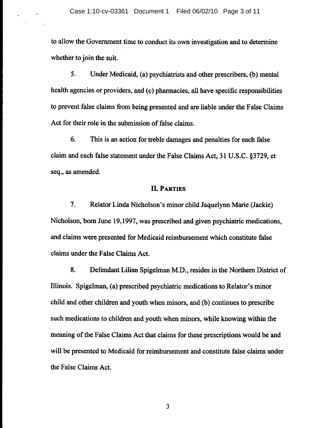to allow the Government time to conduct its own investigation and to detennine whether to join the suit.

5. Under Medicaid, (a) psychiatrists and other prescribers, (b) mental health agencies or providers, and (c) pharmacies, all have specific responsibilities to prevent false claims from being presented and are liable under the False Claims Act for their role in the submission of false claims.

6. This is an action for treble damages and penalties for each false claim and each false statement under the False Claims Act, 31 U.S.C. §3729, et seq., as amended.

#### **IT. PARTIES**

7. Relator Linda Nicholson's minor child Jaquelynn Marie (Jackie) Nicholson, born June 19,1997, was prescribed and given psychiatric medications, and claims were presented for Medicaid reimbursement which constitute false claims under the False Claims Act.

8. Defendant Lilian Spigelman M.D., resides in the Northern District of Illinois. Spigelman, (a) prescribed psychiatric medications to Relator's minor child and other children and youth when minors, and (b) continues to prescribe such medications to children and youth when minors, while knowing within the meaning of the False Claims Act that claims for these prescriptions would be and will be presented to Medicaid for reimbursement and constitute false claims under the False Claims Act.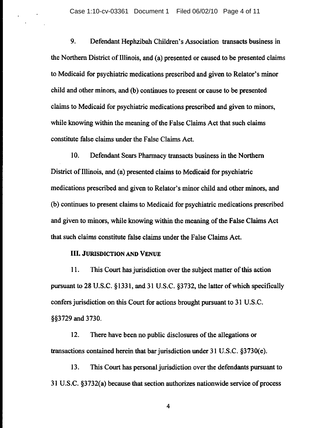9. Defendant Hephzibah Children's Association transacts business in the Northern District of Illinois, and (a) presented or caused to be presented claims to Medicaid for psychiatric medications prescribed and given to Relator's minor child and other minors, and (b) continues to present or cause to be presented claims to Medicaid for psychiatric medications prescribed and given to minors, while knowing within the meaning of the False Claims Act that such claims constitute false claims under the False Claims Act.

10. Defendant Sears Pharmacy transacts business in the Northern District of Illinois, and (a) presented claims to Medicaid for psychiatric medications prescribed and given to Relator's minor child and other minors, and (b) continues to present claims to Medicaid for psychiatric medications prescribed and given to minors, while knowing within the meaning of the False Claims Act that such claims constitute false claims under the False Claims Act.

#### **III.** JURISDICTION AND VENUE

11. This Court has jurisdiction over the subject matter of this action pursuant to 28 U.S.C. § 1331, and 31 U.S.C. §3732, the latter of which specifically confers jurisdiction on this Court for actions brought pursuant to 31 U.S.C. §§3729 and 3730.

12. There have been no public disclosures of the allegations or transactions contained herein that bar jurisdiction under 31 U.S.C. §3730(e).

13. This Court has personal jurisdiction over the defendants pursuant to 31 U.S.C. §3732(a) because that section authorizes nationwide service of process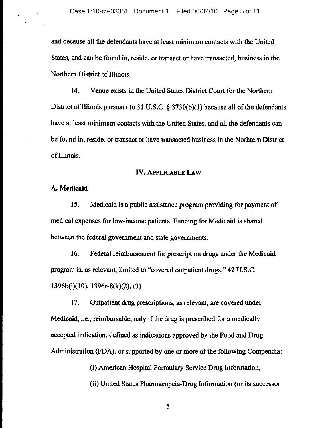and because all the defendants have at least minimum contacts with the United States, and can be found in, reside, or transact or have transacted, business in the Northern District of Illinois.

14. Venue exists in the United States District Court for the Northern District of Illinois pursuant to 31 U.S.C.  $\S$  3730(b)(1) because all of the defendants have at least minimum contacts with the United States, and all the defendants can be found in, reside, or transact or have transacted business in the Norhtern District of Illinois.

#### IV. APPLICABLE LAW

#### A. Medicaid

15. Medicaid is a public assistance program providing for payment of medical expenses for low-income patients. Funding for Medicaid is shared between the federal government and state governments.

16. Federal reimbursement for prescription drugs under the Medicaid program is, as relevant, limited to "covered outpatient drugs." 42 U.S.C. 1396b(i)(IO), 1396r-8(k)(2), (3).

17. Outpatient drug prescriptions, as relevant, are covered under Medicaid, i.e., reimbursable, only if the drug is prescribed for a medically accepted indication, defined as indications approved by the Food and Drug Administration (FDA), or supported by one or more of the following Compendia:

(i) American Hospital Formulary Service Drug Information,

(ii) United States Pharmacopeia-Drug Information (or its successor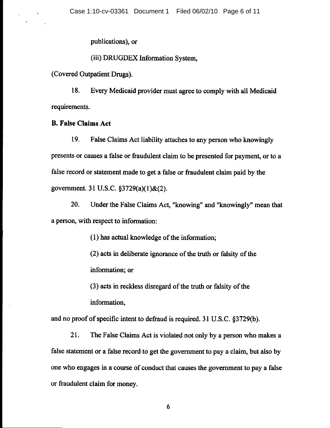publications), or

(iii) DRUGDEX Information System.

(Covered Outpatient Drugs).

18. Every Medicaid provider must agree to comply with all Medicaid requirements.

### B. False Claims Act

19. False Claims Act liability attaches to any person who knowingly presents or causes a false or fraudulent claim to be presented for payment, or to a false record or statement made to get a false or fraudulent claim paid by the government. 31 U.S.C. §3729(a)(I)&(2).

20. Under the False Claims Act, "knowing" and "knowingly" mean that a person, with respect to information:

 $(1)$  has actual knowledge of the information;

(2) acts in deliberate ignorance of the truth or falsity of the information; or

(3) acts in reckless disregard of the truth or falsity of the

information.

and no proof of specific intent to defraud is required. 31 U.S.C. §3729(b).

21. The False Claims Act is violated not only by a person who makes a false statement or a false record to get the government to pay a claim, but also by one who engages in a course of conduct that causes the government to pay a false or fraudulent claim for money.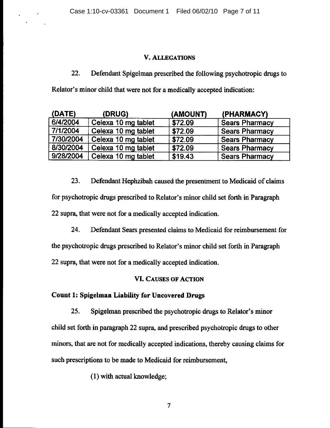### V. ALLEGATIONS

22. Defendant Spigelman prescribed the following psychotropic drugs to Relator's minor child that were not for a medically accepted indication:

| (DATE)    | (DRUG)              | (AMOUNT) | (PHARMACY)            |
|-----------|---------------------|----------|-----------------------|
| 6/4/2004  | Celexa 10 mg tablet | \$72.09  | <b>Sears Pharmacy</b> |
| 7/1/2004  | Celexa 10 mg tablet | \$72.09  | <b>Sears Pharmacy</b> |
| 7/30/2004 | Celexa 10 mg tablet | \$72.09  | <b>Sears Pharmacy</b> |
| 8/30/2004 | Celexa 10 mg tablet | \$72.09  | <b>Sears Pharmacy</b> |
| 9/28/2004 | Celexa 10 mg tablet | \$19.43  | <b>Sears Pharmacy</b> |

23. Defendant Hephzibah caused the presentment to Medicaid of claims for psychotropic drugs prescribed to Relator's minor child set forth in Paragraph 22 supra, that were not for a medically accepted indication.

24. Defendant Sears presented claims to Medicaid for reimbursement for the psychotropic drugs prescribed to Relator's minor child set forth in Paragraph 22 supra, that were not for a medically accepted indication.

### VI. CAUSES OF ACTION

## Count 1: Spigeiman Liability for Uncovered Drugs

25. Spigelman prescribed the psychotropic drugs to Relator's minor child set forth in paragraph 22 supra, and prescribed psychotropic drugs to other minors, that are not for medically accepted indications, thereby causing claims for such prescriptions to be made to Medicaid for reimbursement,

(1) with actual knowledge;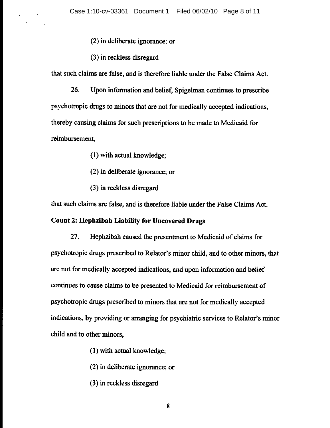- (2) in deliberate ignorance; or
- (3) in reckless disregard

 $\mathbf{r}$ 

that such claims are false, and is therefore liable under the False Claims Act.

26. Upon information and belief, Spigelman continues to prescribe psychotropic drugs to minors that are not for medically accepted indications, thereby causing claims for such prescriptions to be made to Medicaid for reimbursement,

- (1) with actual knowledge;
- (2) in deliberate ignorance; or
- (3) in reckless disregard

that such claims are false, and is therefore liable under the False Claims Act.

### Count 2: Hephzibah Liability for Uncovered Drugs

27. Hephzibah caused the presentment to Medicaid of claims for psychotropic drugs prescribed to Relator's minor child, and to other minors, that are not for medically accepted indications, and upon infonnation and belief continues to cause claims to be presented to Medicaid for reimbursement of psychotropic drugs prescribed to minors that are not for medically accepted indications, by providing or arranging for psychiatric services to Relator's minor child and to other minors,

- (1) with actual knowledge;
- (2) in deliberate ignorance; or
- (3) in reckless disregard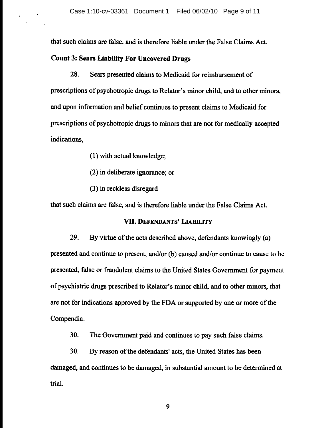that such claims are false, and is therefore liable under the False Claims Act.

## Count 3: Sears Liability For Uncovered Drugs

28. Sears presented claims to Medicaid for reimbursement of prescriptions of psychotropic drugs to Relator's minor child, and to other minors, and upon information and belief continues to present claims to Medicaid for prescriptions of psychotropic drugs to minors that are not for medically accepted indications,

- (1) with actual knowledge;
- (2) in deliberate ignorance; or
- (3) in reckless disregard

that such claims are false, and is therefore liable under the False Claims Act.

### VII. DEFENDANTS' LIABILITY

29. By virtue of the acts described above, defendants knowingly (a) presented and continue to present, and/or (b) caused and/or continue to cause to be presented, false or fraudulent claims to the United States Government for payment of psychiatric drugs prescribed to Relator's minor child, and to other minors, that are not for indications approved by the FDA or supported by one or more of the Compendia.

30. The Government paid and continues to pay such false claims.

30. By reason of the defendants' acts, the United States has been damaged, and continues to be damaged, in substantial amount to be determined at trial.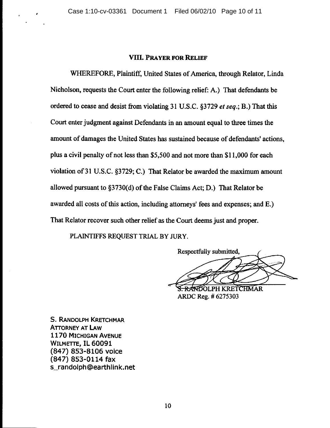#### VIII. PRAYER FOR RELIEF

WHEREFORE, Plaintiff, United States of America, through Relator, Linda Nicholson, requests the Court enter the following relief: A.) That defendants be ordered to cease and desist from violating 31 U.S.C. §3729 *et seq.;* B.) That this Court enter judgment against Defendants in an amount equal to three times the amount of damages the United States has sustained because of defendants' actions, plus a civil penalty of not less than \$5,500 and not more than \$11,000 for each violation of 31 U.S.C. §3729; C.) That Relator be awarded the maximum amount allowed pursuant to §3730(d) of the False Claims Act; D.) That Relator be awarded all costs of this action, including attorneys' fees and expenses; and E.) That Relator recover such other relief as the Court deems just and proper.

PLAINTIFFS REQUEST TRIAL BY JURY.

Respectfully submitted,

RANDOLPH KRETCHMAR ARDe Reg. # 6275303

S. RANDOLPH KRETCHMAR ATTORNEY AT LAw 1170 MICHIGAN AVENUE WILMETTE, **IL** 60091 (847) 853-8106 voice (847) 853-0114 fax s\_randolph@earthlink.net